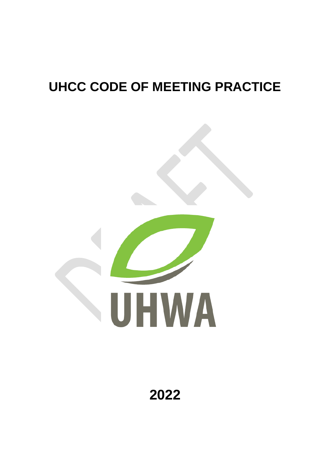# **UHCC CODE OF MEETING PRACTICE**



**2022**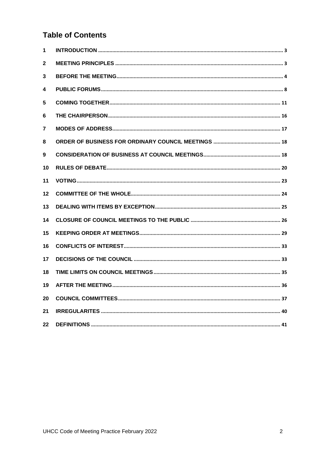# **Table of Contents**

| 1  |  |
|----|--|
| 2  |  |
| 3  |  |
| 4  |  |
| 5  |  |
| 6  |  |
| 7  |  |
| 8  |  |
| 9  |  |
| 10 |  |
| 11 |  |
| 12 |  |
| 13 |  |
| 14 |  |
| 15 |  |
| 16 |  |
| 17 |  |
| 18 |  |
| 19 |  |
| 20 |  |
| 21 |  |
| 22 |  |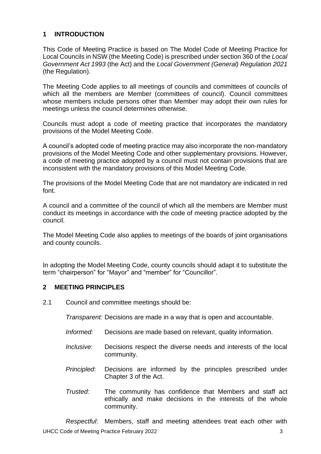# <span id="page-2-0"></span>**1 INTRODUCTION**

This Code of Meeting Practice is based on The Model Code of Meeting Practice for Local Councils in NSW (the Meeting Code) is prescribed under section 360 of the *Local Government Act 1993* (the Act) and the *Local Government (General) Regulation 2021* (the Regulation).

The Meeting Code applies to all meetings of councils and committees of councils of which all the members are Member (committees of council). Council committees whose members include persons other than Member may adopt their own rules for meetings unless the council determines otherwise.

Councils must adopt a code of meeting practice that incorporates the mandatory provisions of the Model Meeting Code.

A council's adopted code of meeting practice may also incorporate the non-mandatory provisions of the Model Meeting Code and other supplementary provisions. However, a code of meeting practice adopted by a council must not contain provisions that are inconsistent with the mandatory provisions of this Model Meeting Code.

The provisions of the Model Meeting Code that are not mandatory are indicated in red font.

A council and a committee of the council of which all the members are Member must conduct its meetings in accordance with the code of meeting practice adopted by the council.

The Model Meeting Code also applies to meetings of the boards of joint organisations and county councils.

In adopting the Model Meeting Code, county councils should adapt it to substitute the term "chairperson" for "Mayor" and "member" for "Councillor".

## <span id="page-2-1"></span>**2 MEETING PRINCIPLES**

2.1 Council and committee meetings should be:

*Transparent:* Decisions are made in a way that is open and accountable.

- *Informed:* Decisions are made based on relevant, quality information.
- *Inclusive*: Decisions respect the diverse needs and interests of the local community.
- *Principled*: Decisions are informed by the principles prescribed under Chapter 3 of the Act.
- *Trusted*: The community has confidence that Members and staff act ethically and make decisions in the interests of the whole community.

UHCC Code of Meeting Practice February 2022 33 *Respectful*: Members, staff and meeting attendees treat each other with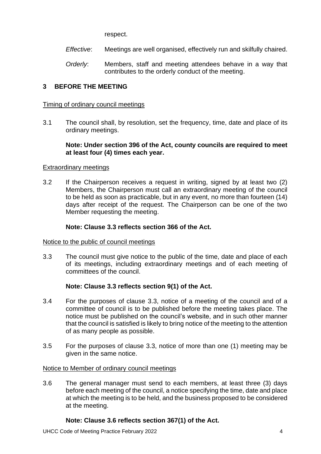respect.

- *Effective*: Meetings are well organised, effectively run and skilfully chaired.
- *Orderly*: Members, staff and meeting attendees behave in a way that contributes to the orderly conduct of the meeting.

# <span id="page-3-0"></span>**3 BEFORE THE MEETING**

## Timing of ordinary council meetings

3.1 The council shall, by resolution, set the frequency, time, date and place of its ordinary meetings.

## **Note: Under section 396 of the Act, county councils are required to meet at least four (4) times each year.**

# Extraordinary meetings

3.2 If the Chairperson receives a request in writing, signed by at least two (2) Members, the Chairperson must call an extraordinary meeting of the council to be held as soon as practicable, but in any event, no more than fourteen (14) days after receipt of the request. The Chairperson can be one of the two Member requesting the meeting.

# **Note: Clause 3.3 reflects section 366 of the Act.**

# Notice to the public of council meetings

3.3 The council must give notice to the public of the time, date and place of each of its meetings, including extraordinary meetings and of each meeting of committees of the council.

# **Note: Clause 3.3 reflects section 9(1) of the Act.**

- 3.4 For the purposes of clause 3.3, notice of a meeting of the council and of a committee of council is to be published before the meeting takes place. The notice must be published on the council's website, and in such other manner that the council is satisfied is likely to bring notice of the meeting to the attention of as many people as possible.
- 3.5 For the purposes of clause 3.3, notice of more than one (1) meeting may be given in the same notice.

# Notice to Member of ordinary council meetings

3.6 The general manager must send to each members, at least three (3) days before each meeting of the council, a notice specifying the time, date and place at which the meeting is to be held, and the business proposed to be considered at the meeting.

# **Note: Clause 3.6 reflects section 367(1) of the Act.**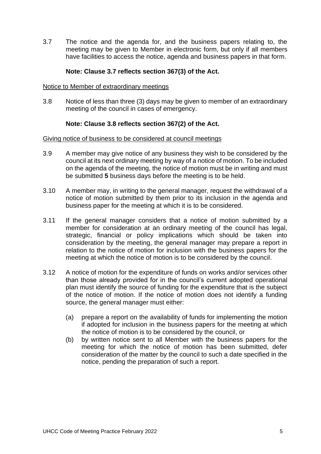3.7 The notice and the agenda for, and the business papers relating to, the meeting may be given to Member in electronic form, but only if all members have facilities to access the notice, agenda and business papers in that form.

## **Note: Clause 3.7 reflects section 367(3) of the Act.**

#### Notice to Member of extraordinary meetings

3.8 Notice of less than three (3) days may be given to member of an extraordinary meeting of the council in cases of emergency.

## **Note: Clause 3.8 reflects section 367(2) of the Act.**

#### Giving notice of business to be considered at council meetings

- 3.9 A member may give notice of any business they wish to be considered by the council at its next ordinary meeting by way of a notice of motion. To be included on the agenda of the meeting, the notice of motion must be in writing and must be submitted **5** business days before the meeting is to be held.
- 3.10 A member may, in writing to the general manager, request the withdrawal of a notice of motion submitted by them prior to its inclusion in the agenda and business paper for the meeting at which it is to be considered.
- 3.11 If the general manager considers that a notice of motion submitted by a member for consideration at an ordinary meeting of the council has legal, strategic, financial or policy implications which should be taken into consideration by the meeting, the general manager may prepare a report in relation to the notice of motion for inclusion with the business papers for the meeting at which the notice of motion is to be considered by the council.
- 3.12 A notice of motion for the expenditure of funds on works and/or services other than those already provided for in the council's current adopted operational plan must identify the source of funding for the expenditure that is the subject of the notice of motion. If the notice of motion does not identify a funding source, the general manager must either:
	- (a) prepare a report on the availability of funds for implementing the motion if adopted for inclusion in the business papers for the meeting at which the notice of motion is to be considered by the council, or
	- (b) by written notice sent to all Member with the business papers for the meeting for which the notice of motion has been submitted, defer consideration of the matter by the council to such a date specified in the notice, pending the preparation of such a report.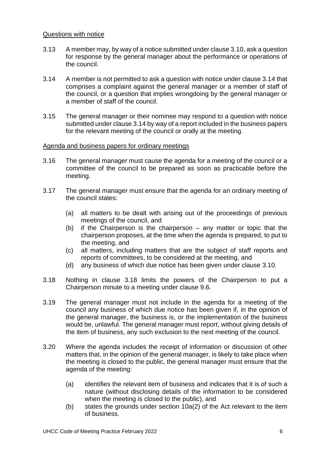#### Questions with notice

- 3.13 A member may, by way of a notice submitted under clause 3.10, ask a question for response by the general manager about the performance or operations of the council.
- 3.14 A member is not permitted to ask a question with notice under clause 3.14 that comprises a complaint against the general manager or a member of staff of the council, or a question that implies wrongdoing by the general manager or a member of staff of the council.
- 3.15 The general manager or their nominee may respond to a question with notice submitted under clause 3.14 by way of a report included in the business papers for the relevant meeting of the council or orally at the meeting.

#### Agenda and business papers for ordinary meetings

- 3.16 The general manager must cause the agenda for a meeting of the council or a committee of the council to be prepared as soon as practicable before the meeting.
- 3.17 The general manager must ensure that the agenda for an ordinary meeting of the council states:
	- (a) all matters to be dealt with arising out of the proceedings of previous meetings of the council, and
	- (b) if the Chairperson is the chairperson any matter or topic that the chairperson proposes, at the time when the agenda is prepared, to put to the meeting, and
	- (c) all matters, including matters that are the subject of staff reports and reports of committees, to be considered at the meeting, and
	- (d) any business of which due notice has been given under clause 3.10.
- 3.18 Nothing in clause 3.18 limits the powers of the Chairperson to put a Chairperson minute to a meeting under clause 9.6.
- 3.19 The general manager must not include in the agenda for a meeting of the council any business of which due notice has been given if, in the opinion of the general manager, the business is, or the implementation of the business would be, unlawful. The general manager must report, without giving details of the item of business, any such exclusion to the next meeting of the council.
- 3.20 Where the agenda includes the receipt of information or discussion of other matters that, in the opinion of the general manager, is likely to take place when the meeting is closed to the public, the general manager must ensure that the agenda of the meeting:
	- (a) identifies the relevant item of business and indicates that it is of such a nature (without disclosing details of the information to be considered when the meeting is closed to the public), and
	- (b) states the grounds under section 10a(2) of the Act relevant to the item of business.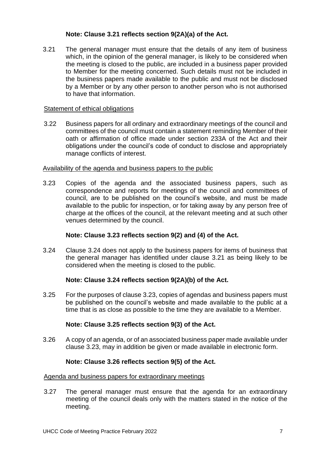# **Note: Clause 3.21 reflects section 9(2A)(a) of the Act.**

3.21 The general manager must ensure that the details of any item of business which, in the opinion of the general manager, is likely to be considered when the meeting is closed to the public, are included in a business paper provided to Member for the meeting concerned. Such details must not be included in the business papers made available to the public and must not be disclosed by a Member or by any other person to another person who is not authorised to have that information.

#### Statement of ethical obligations

3.22 Business papers for all ordinary and extraordinary meetings of the council and committees of the council must contain a statement reminding Member of their oath or affirmation of office made under section 233A of the Act and their obligations under the council's code of conduct to disclose and appropriately manage conflicts of interest.

#### Availability of the agenda and business papers to the public

3.23 Copies of the agenda and the associated business papers, such as correspondence and reports for meetings of the council and committees of council, are to be published on the council's website, and must be made available to the public for inspection, or for taking away by any person free of charge at the offices of the council, at the relevant meeting and at such other venues determined by the council.

## **Note: Clause 3.23 reflects section 9(2) and (4) of the Act.**

3.24 Clause 3.24 does not apply to the business papers for items of business that the general manager has identified under clause 3.21 as being likely to be considered when the meeting is closed to the public.

## **Note: Clause 3.24 reflects section 9(2A)(b) of the Act.**

3.25 For the purposes of clause 3.23, copies of agendas and business papers must be published on the council's website and made available to the public at a time that is as close as possible to the time they are available to a Member.

#### **Note: Clause 3.25 reflects section 9(3) of the Act.**

3.26 A copy of an agenda, or of an associated business paper made available under clause 3.23, may in addition be given or made available in electronic form.

#### **Note: Clause 3.26 reflects section 9(5) of the Act.**

#### Agenda and business papers for extraordinary meetings

3.27 The general manager must ensure that the agenda for an extraordinary meeting of the council deals only with the matters stated in the notice of the meeting.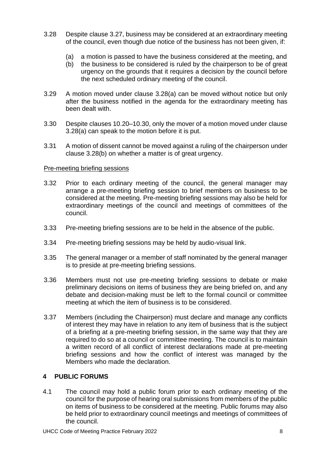- 3.28 Despite clause 3.27, business may be considered at an extraordinary meeting of the council, even though due notice of the business has not been given, if:
	- (a) a motion is passed to have the business considered at the meeting, and
	- (b) the business to be considered is ruled by the chairperson to be of great urgency on the grounds that it requires a decision by the council before the next scheduled ordinary meeting of the council.
- 3.29 A motion moved under clause 3.28(a) can be moved without notice but only after the business notified in the agenda for the extraordinary meeting has been dealt with.
- 3.30 Despite clauses 10.20–10.30, only the mover of a motion moved under clause 3.28(a) can speak to the motion before it is put.
- 3.31 A motion of dissent cannot be moved against a ruling of the chairperson under clause 3.28(b) on whether a matter is of great urgency.

## Pre-meeting briefing sessions

- 3.32 Prior to each ordinary meeting of the council, the general manager may arrange a pre-meeting briefing session to brief members on business to be considered at the meeting. Pre-meeting briefing sessions may also be held for extraordinary meetings of the council and meetings of committees of the council.
- 3.33 Pre-meeting briefing sessions are to be held in the absence of the public.
- 3.34 Pre-meeting briefing sessions may be held by audio-visual link.
- 3.35 The general manager or a member of staff nominated by the general manager is to preside at pre-meeting briefing sessions.
- 3.36 Members must not use pre-meeting briefing sessions to debate or make preliminary decisions on items of business they are being briefed on, and any debate and decision-making must be left to the formal council or committee meeting at which the item of business is to be considered.
- 3.37 Members (including the Chairperson) must declare and manage any conflicts of interest they may have in relation to any item of business that is the subject of a briefing at a pre-meeting briefing session, in the same way that they are required to do so at a council or committee meeting. The council is to maintain a written record of all conflict of interest declarations made at pre-meeting briefing sessions and how the conflict of interest was managed by the Members who made the declaration.

## <span id="page-7-0"></span>**4 PUBLIC FORUMS**

4.1 The council may hold a public forum prior to each ordinary meeting of the council for the purpose of hearing oral submissions from members of the public on items of business to be considered at the meeting. Public forums may also be held prior to extraordinary council meetings and meetings of committees of the council.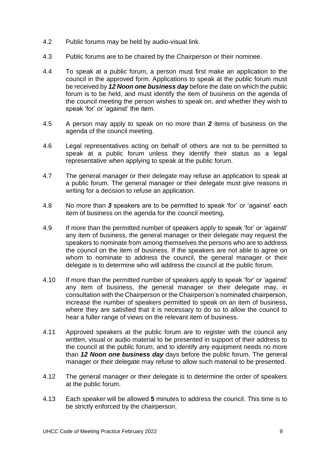- 4.2 Public forums may be held by audio-visual link.
- 4.3 Public forums are to be chaired by the Chairperson or their nominee.
- 4.4 To speak at a public forum, a person must first make an application to the council in the approved form. Applications to speak at the public forum must be received by *12 Noon one business day* before the date on which the public forum is to be held, and must identify the item of business on the agenda of the council meeting the person wishes to speak on, and whether they wish to speak 'for' or 'against' the item.
- 4.5 A person may apply to speak on no more than *2* items of business on the agenda of the council meeting.
- 4.6 Legal representatives acting on behalf of others are not to be permitted to speak at a public forum unless they identify their status as a legal representative when applying to speak at the public forum.
- 4.7 The general manager or their delegate may refuse an application to speak at a public forum. The general manager or their delegate must give reasons in writing for a decision to refuse an application.
- 4.8 No more than *3* speakers are to be permitted to speak 'for' or 'against' each item of business on the agenda for the council meeting**.**
- 4.9 If more than the permitted number of speakers apply to speak 'for' or 'against' any item of business, the general manager or their delegate may request the speakers to nominate from among themselves the persons who are to address the council on the item of business. If the speakers are not able to agree on whom to nominate to address the council, the general manager or their delegate is to determine who will address the council at the public forum.
- 4.10 If more than the permitted number of speakers apply to speak 'for' or 'against' any item of business, the general manager or their delegate may, in consultation with the Chairperson or the Chairperson's nominated chairperson, increase the number of speakers permitted to speak on an item of business, where they are satisfied that it is necessary to do so to allow the council to hear a fuller range of views on the relevant item of business.
- 4.11 Approved speakers at the public forum are to register with the council any written, visual or audio material to be presented in support of their address to the council at the public forum, and to identify any equipment needs no more than *12 Noon one business day* days before the public forum. The general manager or their delegate may refuse to allow such material to be presented.
- 4.12 The general manager or their delegate is to determine the order of speakers at the public forum.
- 4.13 Each speaker will be allowed **5** minutes to address the council. This time is to be strictly enforced by the chairperson.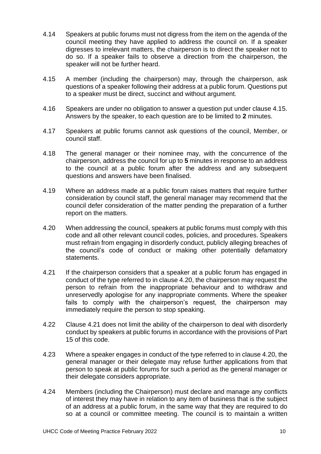- 4.14 Speakers at public forums must not digress from the item on the agenda of the council meeting they have applied to address the council on. If a speaker digresses to irrelevant matters, the chairperson is to direct the speaker not to do so. If a speaker fails to observe a direction from the chairperson, the speaker will not be further heard.
- 4.15 A member (including the chairperson) may, through the chairperson, ask questions of a speaker following their address at a public forum. Questions put to a speaker must be direct, succinct and without argument.
- 4.16 Speakers are under no obligation to answer a question put under clause 4.15. Answers by the speaker, to each question are to be limited to **2** minutes.
- 4.17 Speakers at public forums cannot ask questions of the council, Member, or council staff.
- 4.18 The general manager or their nominee may, with the concurrence of the chairperson, address the council for up to **5** minutes in response to an address to the council at a public forum after the address and any subsequent questions and answers have been finalised.
- 4.19 Where an address made at a public forum raises matters that require further consideration by council staff, the general manager may recommend that the council defer consideration of the matter pending the preparation of a further report on the matters.
- 4.20 When addressing the council, speakers at public forums must comply with this code and all other relevant council codes, policies, and procedures. Speakers must refrain from engaging in disorderly conduct, publicly alleging breaches of the council's code of conduct or making other potentially defamatory statements.
- 4.21 If the chairperson considers that a speaker at a public forum has engaged in conduct of the type referred to in clause 4.20, the chairperson may request the person to refrain from the inappropriate behaviour and to withdraw and unreservedly apologise for any inappropriate comments. Where the speaker fails to comply with the chairperson's request, the chairperson may immediately require the person to stop speaking.
- 4.22 Clause 4.21 does not limit the ability of the chairperson to deal with disorderly conduct by speakers at public forums in accordance with the provisions of Part 15 of this code.
- 4.23 Where a speaker engages in conduct of the type referred to in clause 4.20, the general manager or their delegate may refuse further applications from that person to speak at public forums for such a period as the general manager or their delegate considers appropriate.
- 4.24 Members (including the Chairperson) must declare and manage any conflicts of interest they may have in relation to any item of business that is the subject of an address at a public forum, in the same way that they are required to do so at a council or committee meeting. The council is to maintain a written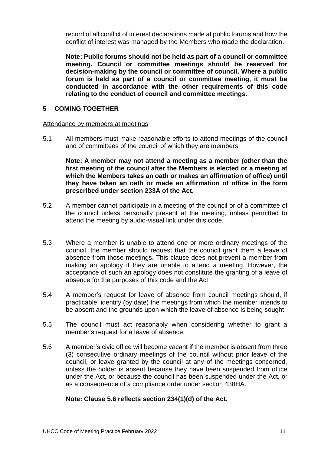record of all conflict of interest declarations made at public forums and how the conflict of interest was managed by the Members who made the declaration.

**Note: Public forums should not be held as part of a council or committee meeting. Council or committee meetings should be reserved for decision-making by the council or committee of council. Where a public forum is held as part of a council or committee meeting, it must be conducted in accordance with the other requirements of this code relating to the conduct of council and committee meetings.**

## <span id="page-10-0"></span>**5 COMING TOGETHER**

#### Attendance by members at meetings

5.1 All members must make reasonable efforts to attend meetings of the council and of committees of the council of which they are members.

**Note: A member may not attend a meeting as a member (other than the first meeting of the council after the Members is elected or a meeting at which the Members takes an oath or makes an affirmation of office) until they have taken an oath or made an affirmation of office in the form prescribed under section 233A of the Act.**

- 5.2 A member cannot participate in a meeting of the council or of a committee of the council unless personally present at the meeting, unless permitted to attend the meeting by audio-visual link under this code.
- 5.3 Where a member is unable to attend one or more ordinary meetings of the council, the member should request that the council grant them a leave of absence from those meetings. This clause does not prevent a member from making an apology if they are unable to attend a meeting. However, the acceptance of such an apology does not constitute the granting of a leave of absence for the purposes of this code and the Act.
- 5.4 A member's request for leave of absence from council meetings should, if practicable, identify (by date) the meetings from which the member intends to be absent and the grounds upon which the leave of absence is being sought.
- 5.5 The council must act reasonably when considering whether to grant a member's request for a leave of absence.
- 5.6 A member's civic office will become vacant if the member is absent from three (3) consecutive ordinary meetings of the council without prior leave of the council, or leave granted by the council at any of the meetings concerned, unless the holder is absent because they have been suspended from office under the Act, or because the council has been suspended under the Act, or as a consequence of a compliance order under section 438HA.

## **Note: Clause 5.6 reflects section 234(1)(d) of the Act.**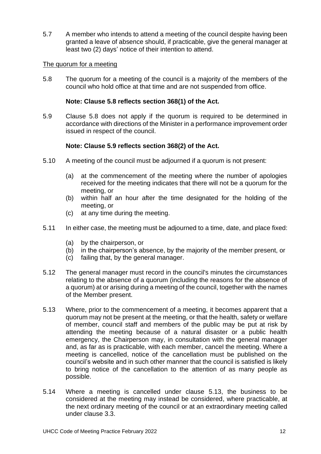5.7 A member who intends to attend a meeting of the council despite having been granted a leave of absence should, if practicable, give the general manager at least two (2) days' notice of their intention to attend.

## The quorum for a meeting

5.8 The quorum for a meeting of the council is a majority of the members of the council who hold office at that time and are not suspended from office.

## **Note: Clause 5.8 reflects section 368(1) of the Act.**

5.9 Clause 5.8 does not apply if the quorum is required to be determined in accordance with directions of the Minister in a performance improvement order issued in respect of the council.

## **Note: Clause 5.9 reflects section 368(2) of the Act.**

- 5.10 A meeting of the council must be adjourned if a quorum is not present:
	- (a) at the commencement of the meeting where the number of apologies received for the meeting indicates that there will not be a quorum for the meeting, or
	- (b) within half an hour after the time designated for the holding of the meeting, or
	- (c) at any time during the meeting.
- 5.11 In either case, the meeting must be adjourned to a time, date, and place fixed:
	- (a) by the chairperson, or
	- (b) in the chairperson's absence, by the majority of the member present, or
	- (c) failing that, by the general manager.
- 5.12 The general manager must record in the council's minutes the circumstances relating to the absence of a quorum (including the reasons for the absence of a quorum) at or arising during a meeting of the council, together with the names of the Member present.
- 5.13 Where, prior to the commencement of a meeting, it becomes apparent that a quorum may not be present at the meeting, or that the health, safety or welfare of member, council staff and members of the public may be put at risk by attending the meeting because of a natural disaster or a public health emergency, the Chairperson may, in consultation with the general manager and, as far as is practicable, with each member, cancel the meeting. Where a meeting is cancelled, notice of the cancellation must be published on the council's website and in such other manner that the council is satisfied is likely to bring notice of the cancellation to the attention of as many people as possible.
- 5.14 Where a meeting is cancelled under clause 5.13, the business to be considered at the meeting may instead be considered, where practicable, at the next ordinary meeting of the council or at an extraordinary meeting called under clause 3.3.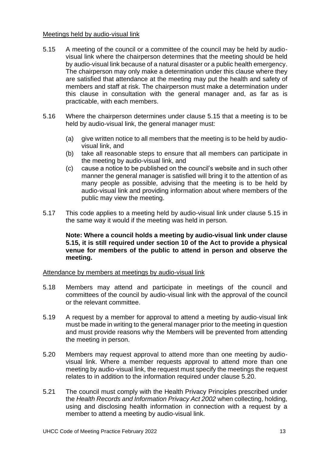## Meetings held by audio-visual link

- 5.15 A meeting of the council or a committee of the council may be held by audiovisual link where the chairperson determines that the meeting should be held by audio-visual link because of a natural disaster or a public health emergency. The chairperson may only make a determination under this clause where they are satisfied that attendance at the meeting may put the health and safety of members and staff at risk. The chairperson must make a determination under this clause in consultation with the general manager and, as far as is practicable, with each members.
- 5.16 Where the chairperson determines under clause 5.15 that a meeting is to be held by audio-visual link, the general manager must:
	- (a) give written notice to all members that the meeting is to be held by audiovisual link, and
	- (b) take all reasonable steps to ensure that all members can participate in the meeting by audio-visual link, and
	- (c) cause a notice to be published on the council's website and in such other manner the general manager is satisfied will bring it to the attention of as many people as possible, advising that the meeting is to be held by audio-visual link and providing information about where members of the public may view the meeting.
- 5.17 This code applies to a meeting held by audio-visual link under clause 5.15 in the same way it would if the meeting was held in person.

**Note: Where a council holds a meeting by audio-visual link under clause 5.15, it is still required under section 10 of the Act to provide a physical venue for members of the public to attend in person and observe the meeting.**

#### Attendance by members at meetings by audio-visual link

- 5.18 Members may attend and participate in meetings of the council and committees of the council by audio-visual link with the approval of the council or the relevant committee.
- 5.19 A request by a member for approval to attend a meeting by audio-visual link must be made in writing to the general manager prior to the meeting in question and must provide reasons why the Members will be prevented from attending the meeting in person.
- 5.20 Members may request approval to attend more than one meeting by audiovisual link. Where a member requests approval to attend more than one meeting by audio-visual link, the request must specify the meetings the request relates to in addition to the information required under clause 5.20.
- 5.21 The council must comply with the Health Privacy Principles prescribed under the *Health Records and Information Privacy Act 2002* when collecting, holding, using and disclosing health information in connection with a request by a member to attend a meeting by audio-visual link.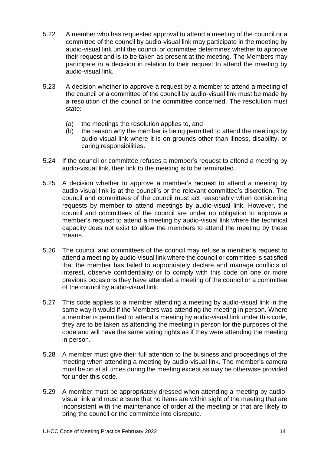- 5.22 A member who has requested approval to attend a meeting of the council or a committee of the council by audio-visual link may participate in the meeting by audio-visual link until the council or committee determines whether to approve their request and is to be taken as present at the meeting. The Members may participate in a decision in relation to their request to attend the meeting by audio-visual link.
- 5.23 A decision whether to approve a request by a member to attend a meeting of the council or a committee of the council by audio-visual link must be made by a resolution of the council or the committee concerned. The resolution must state:
	- (a) the meetings the resolution applies to, and
	- (b) the reason why the member is being permitted to attend the meetings by audio-visual link where it is on grounds other than illness, disability, or caring responsibilities.
- 5.24 If the council or committee refuses a member's request to attend a meeting by audio-visual link, their link to the meeting is to be terminated.
- 5.25 A decision whether to approve a member's request to attend a meeting by audio-visual link is at the council's or the relevant committee's discretion. The council and committees of the council must act reasonably when considering requests by member to attend meetings by audio-visual link. However, the council and committees of the council are under no obligation to approve a member's request to attend a meeting by audio-visual link where the technical capacity does not exist to allow the members to attend the meeting by these means.
- 5.26 The council and committees of the council may refuse a member's request to attend a meeting by audio-visual link where the council or committee is satisfied that the member has failed to appropriately declare and manage conflicts of interest, observe confidentiality or to comply with this code on one or more previous occasions they have attended a meeting of the council or a committee of the council by audio-visual link.
- 5.27 This code applies to a member attending a meeting by audio-visual link in the same way it would if the Members was attending the meeting in person. Where a member is permitted to attend a meeting by audio-visual link under this code, they are to be taken as attending the meeting in person for the purposes of the code and will have the same voting rights as if they were attending the meeting in person.
- 5.28 A member must give their full attention to the business and proceedings of the meeting when attending a meeting by audio-visual link. The member's camera must be on at all times during the meeting except as may be otherwise provided for under this code.
- 5.29 A member must be appropriately dressed when attending a meeting by audiovisual link and must ensure that no items are within sight of the meeting that are inconsistent with the maintenance of order at the meeting or that are likely to bring the council or the committee into disrepute.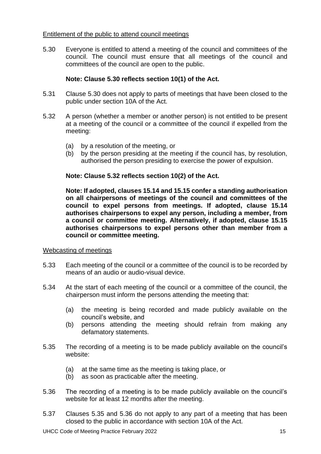## Entitlement of the public to attend council meetings

5.30 Everyone is entitled to attend a meeting of the council and committees of the council. The council must ensure that all meetings of the council and committees of the council are open to the public.

# **Note: Clause 5.30 reflects section 10(1) of the Act.**

- 5.31 Clause 5.30 does not apply to parts of meetings that have been closed to the public under section 10A of the Act.
- 5.32 A person (whether a member or another person) is not entitled to be present at a meeting of the council or a committee of the council if expelled from the meeting:
	- (a) by a resolution of the meeting, or
	- (b) by the person presiding at the meeting if the council has, by resolution, authorised the person presiding to exercise the power of expulsion.

# **Note: Clause 5.32 reflects section 10(2) of the Act.**

**Note: If adopted, clauses 15.14 and 15.15 confer a standing authorisation on all chairpersons of meetings of the council and committees of the council to expel persons from meetings. If adopted, clause 15.14 authorises chairpersons to expel any person, including a member, from a council or committee meeting. Alternatively, if adopted, clause 15.15 authorises chairpersons to expel persons other than member from a council or committee meeting.**

# Webcasting of meetings

- 5.33 Each meeting of the council or a committee of the council is to be recorded by means of an audio or audio-visual device.
- 5.34 At the start of each meeting of the council or a committee of the council, the chairperson must inform the persons attending the meeting that:
	- (a) the meeting is being recorded and made publicly available on the council's website, and
	- (b) persons attending the meeting should refrain from making any defamatory statements.
- 5.35 The recording of a meeting is to be made publicly available on the council's website:
	- (a) at the same time as the meeting is taking place, or
	- (b) as soon as practicable after the meeting.
- 5.36 The recording of a meeting is to be made publicly available on the council's website for at least 12 months after the meeting.
- 5.37 Clauses 5.35 and 5.36 do not apply to any part of a meeting that has been closed to the public in accordance with section 10A of the Act.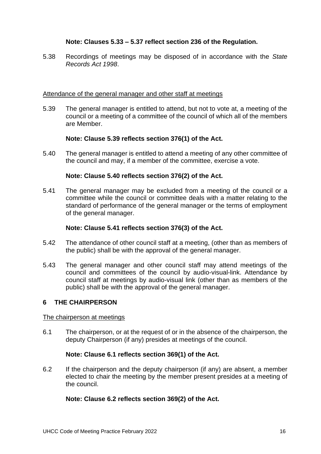## **Note: Clauses 5.33 – 5.37 reflect section 236 of the Regulation.**

5.38 Recordings of meetings may be disposed of in accordance with the *State Records Act 1998*.

#### Attendance of the general manager and other staff at meetings

5.39 The general manager is entitled to attend, but not to vote at, a meeting of the council or a meeting of a committee of the council of which all of the members are Member.

## **Note: Clause 5.39 reflects section 376(1) of the Act.**

5.40 The general manager is entitled to attend a meeting of any other committee of the council and may, if a member of the committee, exercise a vote.

#### **Note: Clause 5.40 reflects section 376(2) of the Act.**

5.41 The general manager may be excluded from a meeting of the council or a committee while the council or committee deals with a matter relating to the standard of performance of the general manager or the terms of employment of the general manager.

#### **Note: Clause 5.41 reflects section 376(3) of the Act.**

- 5.42 The attendance of other council staff at a meeting, (other than as members of the public) shall be with the approval of the general manager.
- 5.43 The general manager and other council staff may attend meetings of the council and committees of the council by audio-visual-link. Attendance by council staff at meetings by audio-visual link (other than as members of the public) shall be with the approval of the general manager.

## <span id="page-15-0"></span>**6 THE CHAIRPERSON**

#### The chairperson at meetings

6.1 The chairperson, or at the request of or in the absence of the chairperson, the deputy Chairperson (if any) presides at meetings of the council.

#### **Note: Clause 6.1 reflects section 369(1) of the Act.**

6.2 If the chairperson and the deputy chairperson (if any) are absent, a member elected to chair the meeting by the member present presides at a meeting of the council.

#### **Note: Clause 6.2 reflects section 369(2) of the Act.**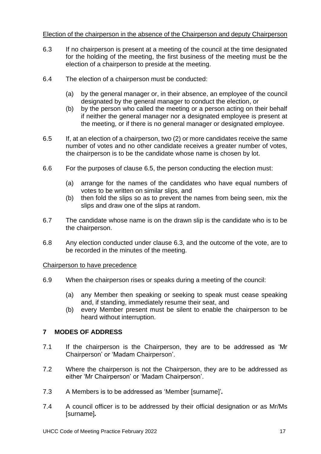## Election of the chairperson in the absence of the Chairperson and deputy Chairperson

- 6.3 If no chairperson is present at a meeting of the council at the time designated for the holding of the meeting, the first business of the meeting must be the election of a chairperson to preside at the meeting.
- 6.4 The election of a chairperson must be conducted:
	- (a) by the general manager or, in their absence, an employee of the council designated by the general manager to conduct the election, or
	- (b) by the person who called the meeting or a person acting on their behalf if neither the general manager nor a designated employee is present at the meeting, or if there is no general manager or designated employee.
- 6.5 If, at an election of a chairperson, two (2) or more candidates receive the same number of votes and no other candidate receives a greater number of votes, the chairperson is to be the candidate whose name is chosen by lot.
- 6.6 For the purposes of clause 6.5, the person conducting the election must:
	- (a) arrange for the names of the candidates who have equal numbers of votes to be written on similar slips, and
	- (b) then fold the slips so as to prevent the names from being seen, mix the slips and draw one of the slips at random.
- 6.7 The candidate whose name is on the drawn slip is the candidate who is to be the chairperson.
- 6.8 Any election conducted under clause 6.3, and the outcome of the vote, are to be recorded in the minutes of the meeting.

## Chairperson to have precedence

- 6.9 When the chairperson rises or speaks during a meeting of the council:
	- (a) any Member then speaking or seeking to speak must cease speaking and, if standing, immediately resume their seat, and
	- (b) every Member present must be silent to enable the chairperson to be heard without interruption.

# <span id="page-16-0"></span>**7 MODES OF ADDRESS**

- 7.1 If the chairperson is the Chairperson, they are to be addressed as 'Mr Chairperson' or 'Madam Chairperson'.
- 7.2 Where the chairperson is not the Chairperson, they are to be addressed as either 'Mr Chairperson' or 'Madam Chairperson'.
- 7.3 A Members is to be addressed as 'Member [surname]'*.*
- 7.4 A council officer is to be addressed by their official designation or as Mr/Ms [surname]*.*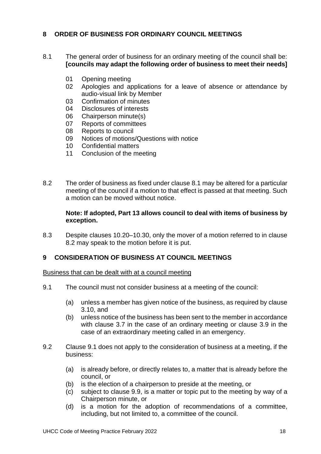## <span id="page-17-0"></span>**8 ORDER OF BUSINESS FOR ORDINARY COUNCIL MEETINGS**

- 8.1 The general order of business for an ordinary meeting of the council shall be: **[councils may adapt the following order of business to meet their needs]**
	- 01 Opening meeting<br>02 Apologies and are
	- Apologies and applications for a leave of absence or attendance by audio-visual link by Member
	- 03 Confirmation of minutes
	- 04 Disclosures of interests
	- 06 Chairperson minute(s)<br>07 Reports of committees
	- Reports of committees
	- 08 Reports to council
	- 09 Notices of motions/Questions with notice
	- 10 Confidential matters
	- 11 Conclusion of the meeting
- 8.2 The order of business as fixed under clause 8.1 may be altered for a particular meeting of the council if a motion to that effect is passed at that meeting. Such a motion can be moved without notice.

## **Note: If adopted, Part 13 allows council to deal with items of business by exception.**

8.3 Despite clauses 10.20–10.30, only the mover of a motion referred to in clause 8.2 may speak to the motion before it is put.

## <span id="page-17-1"></span>**9 CONSIDERATION OF BUSINESS AT COUNCIL MEETINGS**

Business that can be dealt with at a council meeting

- 9.1 The council must not consider business at a meeting of the council:
	- (a) unless a member has given notice of the business, as required by clause 3.10, and
	- (b) unless notice of the business has been sent to the member in accordance with clause 3.7 in the case of an ordinary meeting or clause 3.9 in the case of an extraordinary meeting called in an emergency.
- 9.2 Clause 9.1 does not apply to the consideration of business at a meeting, if the business:
	- (a) is already before, or directly relates to, a matter that is already before the council, or
	- (b) is the election of a chairperson to preside at the meeting, or
	- (c) subject to clause 9.9, is a matter or topic put to the meeting by way of a Chairperson minute, or
	- (d) is a motion for the adoption of recommendations of a committee, including, but not limited to, a committee of the council.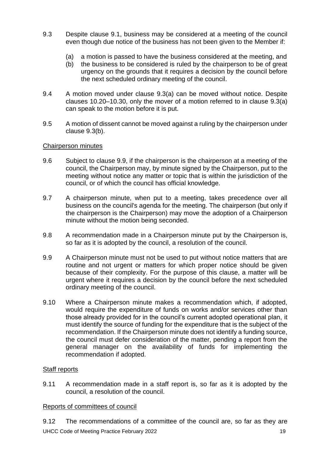- 9.3 Despite clause 9.1, business may be considered at a meeting of the council even though due notice of the business has not been given to the Member if:
	- (a) a motion is passed to have the business considered at the meeting, and
	- (b) the business to be considered is ruled by the chairperson to be of great urgency on the grounds that it requires a decision by the council before the next scheduled ordinary meeting of the council.
- 9.4 A motion moved under clause 9.3(a) can be moved without notice. Despite clauses 10.20–10.30, only the mover of a motion referred to in clause 9.3(a) can speak to the motion before it is put.
- 9.5 A motion of dissent cannot be moved against a ruling by the chairperson under clause 9.3(b).

#### Chairperson minutes

- 9.6 Subject to clause 9.9, if the chairperson is the chairperson at a meeting of the council, the Chairperson may, by minute signed by the Chairperson, put to the meeting without notice any matter or topic that is within the jurisdiction of the council, or of which the council has official knowledge.
- 9.7 A chairperson minute, when put to a meeting, takes precedence over all business on the council's agenda for the meeting. The chairperson (but only if the chairperson is the Chairperson) may move the adoption of a Chairperson minute without the motion being seconded.
- 9.8 A recommendation made in a Chairperson minute put by the Chairperson is, so far as it is adopted by the council, a resolution of the council.
- 9.9 A Chairperson minute must not be used to put without notice matters that are routine and not urgent or matters for which proper notice should be given because of their complexity. For the purpose of this clause, a matter will be urgent where it requires a decision by the council before the next scheduled ordinary meeting of the council.
- 9.10 Where a Chairperson minute makes a recommendation which, if adopted, would require the expenditure of funds on works and/or services other than those already provided for in the council's current adopted operational plan, it must identify the source of funding for the expenditure that is the subject of the recommendation. If the Chairperson minute does not identify a funding source, the council must defer consideration of the matter, pending a report from the general manager on the availability of funds for implementing the recommendation if adopted.

## Staff reports

9.11 A recommendation made in a staff report is, so far as it is adopted by the council, a resolution of the council.

## Reports of committees of council

UHCC Code of Meeting Practice February 2022 19 9.12 The recommendations of a committee of the council are, so far as they are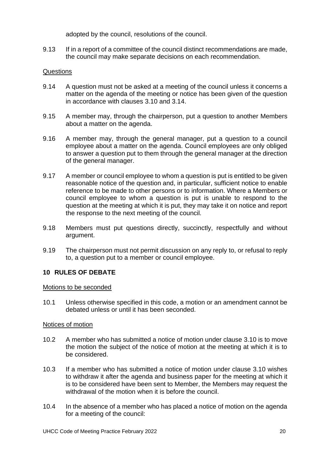adopted by the council, resolutions of the council.

9.13 If in a report of a committee of the council distinct recommendations are made, the council may make separate decisions on each recommendation.

## Questions

- 9.14 A question must not be asked at a meeting of the council unless it concerns a matter on the agenda of the meeting or notice has been given of the question in accordance with clauses 3.10 and 3.14.
- 9.15 A member may, through the chairperson, put a question to another Members about a matter on the agenda.
- 9.16 A member may, through the general manager, put a question to a council employee about a matter on the agenda. Council employees are only obliged to answer a question put to them through the general manager at the direction of the general manager.
- 9.17 A member or council employee to whom a question is put is entitled to be given reasonable notice of the question and, in particular, sufficient notice to enable reference to be made to other persons or to information. Where a Members or council employee to whom a question is put is unable to respond to the question at the meeting at which it is put, they may take it on notice and report the response to the next meeting of the council.
- 9.18 Members must put questions directly, succinctly, respectfully and without argument.
- 9.19 The chairperson must not permit discussion on any reply to, or refusal to reply to, a question put to a member or council employee.

## <span id="page-19-0"></span>**10 RULES OF DEBATE**

## Motions to be seconded

10.1 Unless otherwise specified in this code, a motion or an amendment cannot be debated unless or until it has been seconded.

## Notices of motion

- 10.2 A member who has submitted a notice of motion under clause 3.10 is to move the motion the subject of the notice of motion at the meeting at which it is to be considered.
- 10.3 If a member who has submitted a notice of motion under clause 3.10 wishes to withdraw it after the agenda and business paper for the meeting at which it is to be considered have been sent to Member, the Members may request the withdrawal of the motion when it is before the council.
- 10.4 In the absence of a member who has placed a notice of motion on the agenda for a meeting of the council: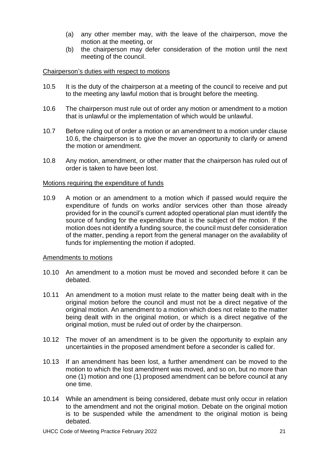- (a) any other member may, with the leave of the chairperson, move the motion at the meeting, or
- (b) the chairperson may defer consideration of the motion until the next meeting of the council.

## Chairperson's duties with respect to motions

- 10.5 It is the duty of the chairperson at a meeting of the council to receive and put to the meeting any lawful motion that is brought before the meeting.
- 10.6 The chairperson must rule out of order any motion or amendment to a motion that is unlawful or the implementation of which would be unlawful.
- 10.7 Before ruling out of order a motion or an amendment to a motion under clause 10.6, the chairperson is to give the mover an opportunity to clarify or amend the motion or amendment.
- 10.8 Any motion, amendment, or other matter that the chairperson has ruled out of order is taken to have been lost.

## Motions requiring the expenditure of funds

10.9 A motion or an amendment to a motion which if passed would require the expenditure of funds on works and/or services other than those already provided for in the council's current adopted operational plan must identify the source of funding for the expenditure that is the subject of the motion. If the motion does not identify a funding source, the council must defer consideration of the matter, pending a report from the general manager on the availability of funds for implementing the motion if adopted.

## Amendments to motions

- 10.10 An amendment to a motion must be moved and seconded before it can be debated.
- 10.11 An amendment to a motion must relate to the matter being dealt with in the original motion before the council and must not be a direct negative of the original motion. An amendment to a motion which does not relate to the matter being dealt with in the original motion, or which is a direct negative of the original motion, must be ruled out of order by the chairperson.
- 10.12 The mover of an amendment is to be given the opportunity to explain any uncertainties in the proposed amendment before a seconder is called for.
- 10.13 If an amendment has been lost, a further amendment can be moved to the motion to which the lost amendment was moved, and so on, but no more than one (1) motion and one (1) proposed amendment can be before council at any one time.
- 10.14 While an amendment is being considered, debate must only occur in relation to the amendment and not the original motion. Debate on the original motion is to be suspended while the amendment to the original motion is being debated.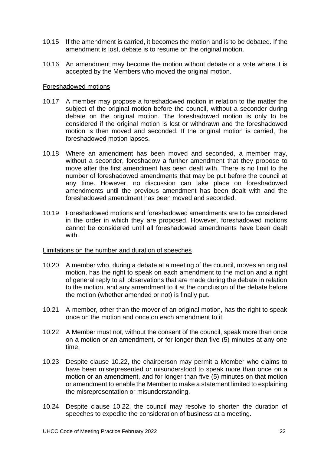- 10.15 If the amendment is carried, it becomes the motion and is to be debated. If the amendment is lost, debate is to resume on the original motion.
- 10.16 An amendment may become the motion without debate or a vote where it is accepted by the Members who moved the original motion.

#### Foreshadowed motions

- 10.17 A member may propose a foreshadowed motion in relation to the matter the subject of the original motion before the council, without a seconder during debate on the original motion. The foreshadowed motion is only to be considered if the original motion is lost or withdrawn and the foreshadowed motion is then moved and seconded. If the original motion is carried, the foreshadowed motion lapses.
- 10.18 Where an amendment has been moved and seconded, a member may, without a seconder, foreshadow a further amendment that they propose to move after the first amendment has been dealt with. There is no limit to the number of foreshadowed amendments that may be put before the council at any time. However, no discussion can take place on foreshadowed amendments until the previous amendment has been dealt with and the foreshadowed amendment has been moved and seconded.
- 10.19 Foreshadowed motions and foreshadowed amendments are to be considered in the order in which they are proposed. However, foreshadowed motions cannot be considered until all foreshadowed amendments have been dealt with.

#### Limitations on the number and duration of speeches

- 10.20 A member who, during a debate at a meeting of the council, moves an original motion, has the right to speak on each amendment to the motion and a right of general reply to all observations that are made during the debate in relation to the motion, and any amendment to it at the conclusion of the debate before the motion (whether amended or not) is finally put.
- 10.21 A member, other than the mover of an original motion, has the right to speak once on the motion and once on each amendment to it.
- 10.22 A Member must not, without the consent of the council, speak more than once on a motion or an amendment, or for longer than five (5) minutes at any one time.
- 10.23 Despite clause 10.22, the chairperson may permit a Member who claims to have been misrepresented or misunderstood to speak more than once on a motion or an amendment, and for longer than five (5) minutes on that motion or amendment to enable the Member to make a statement limited to explaining the misrepresentation or misunderstanding.
- 10.24 Despite clause 10.22, the council may resolve to shorten the duration of speeches to expedite the consideration of business at a meeting.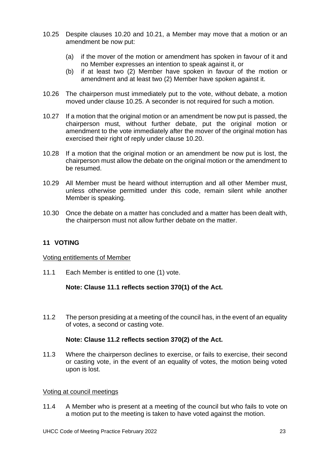- 10.25 Despite clauses 10.20 and 10.21, a Member may move that a motion or an amendment be now put:
	- (a) if the mover of the motion or amendment has spoken in favour of it and no Member expresses an intention to speak against it, or
	- (b) if at least two (2) Member have spoken in favour of the motion or amendment and at least two (2) Member have spoken against it.
- 10.26 The chairperson must immediately put to the vote, without debate, a motion moved under clause 10.25. A seconder is not required for such a motion.
- 10.27 If a motion that the original motion or an amendment be now put is passed, the chairperson must, without further debate, put the original motion or amendment to the vote immediately after the mover of the original motion has exercised their right of reply under clause 10.20.
- 10.28 If a motion that the original motion or an amendment be now put is lost, the chairperson must allow the debate on the original motion or the amendment to be resumed.
- 10.29 All Member must be heard without interruption and all other Member must, unless otherwise permitted under this code, remain silent while another Member is speaking.
- 10.30 Once the debate on a matter has concluded and a matter has been dealt with, the chairperson must not allow further debate on the matter.

# <span id="page-22-0"></span>**11 VOTING**

## Voting entitlements of Member

11.1 Each Member is entitled to one (1) vote.

## **Note: Clause 11.1 reflects section 370(1) of the Act.**

11.2 The person presiding at a meeting of the council has, in the event of an equality of votes, a second or casting vote.

## **Note: Clause 11.2 reflects section 370(2) of the Act.**

11.3 Where the chairperson declines to exercise, or fails to exercise, their second or casting vote, in the event of an equality of votes, the motion being voted upon is lost.

#### Voting at council meetings

11.4 A Member who is present at a meeting of the council but who fails to vote on a motion put to the meeting is taken to have voted against the motion.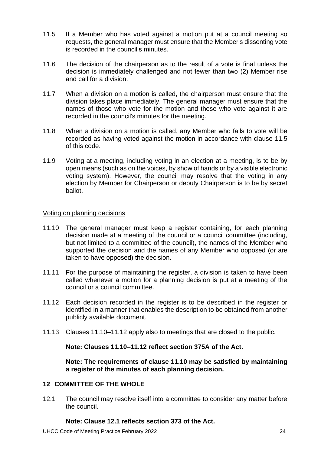- 11.5 If a Member who has voted against a motion put at a council meeting so requests, the general manager must ensure that the Member's dissenting vote is recorded in the council's minutes.
- 11.6 The decision of the chairperson as to the result of a vote is final unless the decision is immediately challenged and not fewer than two (2) Member rise and call for a division.
- 11.7 When a division on a motion is called, the chairperson must ensure that the division takes place immediately. The general manager must ensure that the names of those who vote for the motion and those who vote against it are recorded in the council's minutes for the meeting.
- 11.8 When a division on a motion is called, any Member who fails to vote will be recorded as having voted against the motion in accordance with clause 11.5 of this code.
- 11.9 Voting at a meeting, including voting in an election at a meeting, is to be by open means (such as on the voices, by show of hands or by a visible electronic voting system). However, the council may resolve that the voting in any election by Member for Chairperson or deputy Chairperson is to be by secret ballot.

## Voting on planning decisions

- 11.10 The general manager must keep a register containing, for each planning decision made at a meeting of the council or a council committee (including, but not limited to a committee of the council), the names of the Member who supported the decision and the names of any Member who opposed (or are taken to have opposed) the decision.
- 11.11 For the purpose of maintaining the register, a division is taken to have been called whenever a motion for a planning decision is put at a meeting of the council or a council committee.
- 11.12 Each decision recorded in the register is to be described in the register or identified in a manner that enables the description to be obtained from another publicly available document.
- 11.13 Clauses 11.10–11.12 apply also to meetings that are closed to the public.

**Note: Clauses 11.10–11.12 reflect section 375A of the Act.**

**Note: The requirements of clause 11.10 may be satisfied by maintaining a register of the minutes of each planning decision.**

# <span id="page-23-0"></span>**12 COMMITTEE OF THE WHOLE**

12.1 The council may resolve itself into a committee to consider any matter before the council.

## **Note: Clause 12.1 reflects section 373 of the Act.**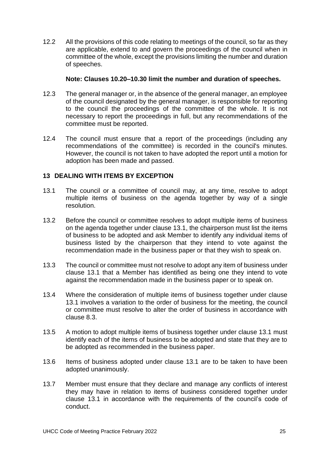12.2 All the provisions of this code relating to meetings of the council, so far as they are applicable, extend to and govern the proceedings of the council when in committee of the whole, except the provisions limiting the number and duration of speeches.

## **Note: Clauses 10.20–10.30 limit the number and duration of speeches.**

- 12.3 The general manager or, in the absence of the general manager, an employee of the council designated by the general manager, is responsible for reporting to the council the proceedings of the committee of the whole. It is not necessary to report the proceedings in full, but any recommendations of the committee must be reported.
- 12.4 The council must ensure that a report of the proceedings (including any recommendations of the committee) is recorded in the council's minutes. However, the council is not taken to have adopted the report until a motion for adoption has been made and passed.

## <span id="page-24-0"></span>**13 DEALING WITH ITEMS BY EXCEPTION**

- 13.1 The council or a committee of council may, at any time, resolve to adopt multiple items of business on the agenda together by way of a single resolution.
- 13.2 Before the council or committee resolves to adopt multiple items of business on the agenda together under clause 13.1, the chairperson must list the items of business to be adopted and ask Member to identify any individual items of business listed by the chairperson that they intend to vote against the recommendation made in the business paper or that they wish to speak on.
- 13.3 The council or committee must not resolve to adopt any item of business under clause 13.1 that a Member has identified as being one they intend to vote against the recommendation made in the business paper or to speak on.
- 13.4 Where the consideration of multiple items of business together under clause 13.1 involves a variation to the order of business for the meeting, the council or committee must resolve to alter the order of business in accordance with clause 8.3.
- 13.5 A motion to adopt multiple items of business together under clause 13.1 must identify each of the items of business to be adopted and state that they are to be adopted as recommended in the business paper.
- 13.6 Items of business adopted under clause 13.1 are to be taken to have been adopted unanimously.
- 13.7 Member must ensure that they declare and manage any conflicts of interest they may have in relation to items of business considered together under clause 13.1 in accordance with the requirements of the council's code of conduct.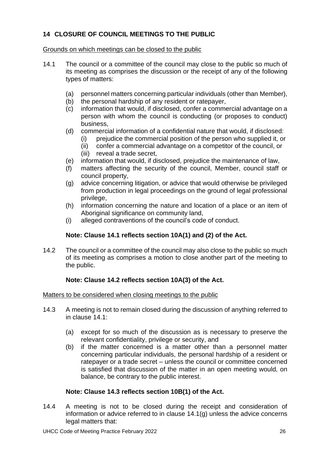# <span id="page-25-0"></span>**14 CLOSURE OF COUNCIL MEETINGS TO THE PUBLIC**

## Grounds on which meetings can be closed to the public

- 14.1 The council or a committee of the council may close to the public so much of its meeting as comprises the discussion or the receipt of any of the following types of matters:
	- (a) personnel matters concerning particular individuals (other than Member),
	- (b) the personal hardship of any resident or ratepayer,
	- (c) information that would, if disclosed, confer a commercial advantage on a person with whom the council is conducting (or proposes to conduct) business,
	- (d) commercial information of a confidential nature that would, if disclosed:
		- (i) prejudice the commercial position of the person who supplied it, or
		- (ii) confer a commercial advantage on a competitor of the council, or (iii) reveal a trade secret,
	- (e) information that would, if disclosed, prejudice the maintenance of law,
	- (f) matters affecting the security of the council, Member, council staff or council property,
	- (g) advice concerning litigation, or advice that would otherwise be privileged from production in legal proceedings on the ground of legal professional privilege,
	- (h) information concerning the nature and location of a place or an item of Aboriginal significance on community land,
	- (i) alleged contraventions of the council's code of conduct.

# **Note: Clause 14.1 reflects section 10A(1) and (2) of the Act.**

14.2 The council or a committee of the council may also close to the public so much of its meeting as comprises a motion to close another part of the meeting to the public.

# **Note: Clause 14.2 reflects section 10A(3) of the Act.**

## Matters to be considered when closing meetings to the public

- 14.3 A meeting is not to remain closed during the discussion of anything referred to in clause 14.1:
	- (a) except for so much of the discussion as is necessary to preserve the relevant confidentiality, privilege or security, and
	- (b) if the matter concerned is a matter other than a personnel matter concerning particular individuals, the personal hardship of a resident or ratepayer or a trade secret – unless the council or committee concerned is satisfied that discussion of the matter in an open meeting would, on balance, be contrary to the public interest.

## **Note: Clause 14.3 reflects section 10B(1) of the Act.**

14.4 A meeting is not to be closed during the receipt and consideration of information or advice referred to in clause 14.1(g) unless the advice concerns legal matters that: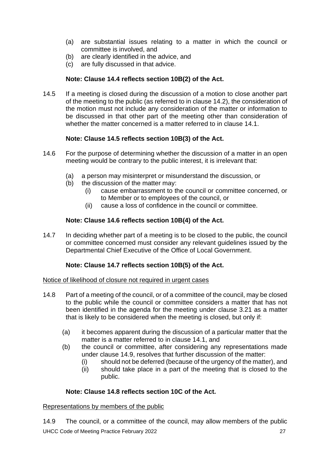- (a) are substantial issues relating to a matter in which the council or committee is involved, and
- (b) are clearly identified in the advice, and
- (c) are fully discussed in that advice.

# **Note: Clause 14.4 reflects section 10B(2) of the Act.**

14.5 If a meeting is closed during the discussion of a motion to close another part of the meeting to the public (as referred to in clause 14.2), the consideration of the motion must not include any consideration of the matter or information to be discussed in that other part of the meeting other than consideration of whether the matter concerned is a matter referred to in clause 14.1.

# **Note: Clause 14.5 reflects section 10B(3) of the Act.**

- 14.6 For the purpose of determining whether the discussion of a matter in an open meeting would be contrary to the public interest, it is irrelevant that:
	- (a) a person may misinterpret or misunderstand the discussion, or
	- (b) the discussion of the matter may:
		- (i) cause embarrassment to the council or committee concerned, or to Member or to employees of the council, or
		- (ii) cause a loss of confidence in the council or committee.

# **Note: Clause 14.6 reflects section 10B(4) of the Act.**

14.7 In deciding whether part of a meeting is to be closed to the public, the council or committee concerned must consider any relevant guidelines issued by the Departmental Chief Executive of the Office of Local Government.

# **Note: Clause 14.7 reflects section 10B(5) of the Act.**

## Notice of likelihood of closure not required in urgent cases

- 14.8 Part of a meeting of the council, or of a committee of the council, may be closed to the public while the council or committee considers a matter that has not been identified in the agenda for the meeting under clause 3.21 as a matter that is likely to be considered when the meeting is closed, but only if:
	- (a) it becomes apparent during the discussion of a particular matter that the matter is a matter referred to in clause 14.1, and
	- (b) the council or committee, after considering any representations made under clause 14.9, resolves that further discussion of the matter:
		- (i) should not be deferred (because of the urgency of the matter), and
		- (ii) should take place in a part of the meeting that is closed to the public.

# **Note: Clause 14.8 reflects section 10C of the Act.**

# Representations by members of the public

UHCC Code of Meeting Practice February 2022 27 27 14.9 The council, or a committee of the council, may allow members of the public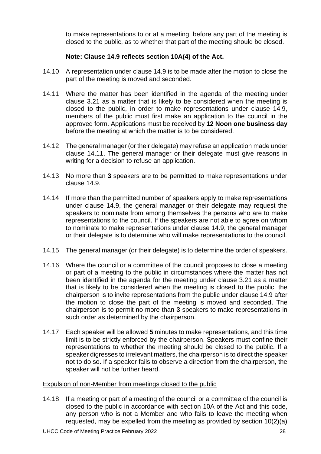to make representations to or at a meeting, before any part of the meeting is closed to the public, as to whether that part of the meeting should be closed.

## **Note: Clause 14.9 reflects section 10A(4) of the Act.**

- 14.10 A representation under clause 14.9 is to be made after the motion to close the part of the meeting is moved and seconded.
- 14.11 Where the matter has been identified in the agenda of the meeting under clause 3.21 as a matter that is likely to be considered when the meeting is closed to the public, in order to make representations under clause 14.9, members of the public must first make an application to the council in the approved form. Applications must be received by **12 Noon one business day** before the meeting at which the matter is to be considered.
- 14.12 The general manager (or their delegate) may refuse an application made under clause 14.11. The general manager or their delegate must give reasons in writing for a decision to refuse an application.
- 14.13 No more than **3** speakers are to be permitted to make representations under clause 14.9.
- 14.14 If more than the permitted number of speakers apply to make representations under clause 14.9, the general manager or their delegate may request the speakers to nominate from among themselves the persons who are to make representations to the council. If the speakers are not able to agree on whom to nominate to make representations under clause 14.9, the general manager or their delegate is to determine who will make representations to the council.
- 14.15 The general manager (or their delegate) is to determine the order of speakers.
- 14.16 Where the council or a committee of the council proposes to close a meeting or part of a meeting to the public in circumstances where the matter has not been identified in the agenda for the meeting under clause 3.21 as a matter that is likely to be considered when the meeting is closed to the public, the chairperson is to invite representations from the public under clause 14.9 after the motion to close the part of the meeting is moved and seconded. The chairperson is to permit no more than **3** speakers to make representations in such order as determined by the chairperson.
- 14.17 Each speaker will be allowed **5** minutes to make representations, and this time limit is to be strictly enforced by the chairperson. Speakers must confine their representations to whether the meeting should be closed to the public. If a speaker digresses to irrelevant matters, the chairperson is to direct the speaker not to do so. If a speaker fails to observe a direction from the chairperson, the speaker will not be further heard.

#### Expulsion of non-Member from meetings closed to the public

14.18 If a meeting or part of a meeting of the council or a committee of the council is closed to the public in accordance with section 10A of the Act and this code, any person who is not a Member and who fails to leave the meeting when requested, may be expelled from the meeting as provided by section 10(2)(a)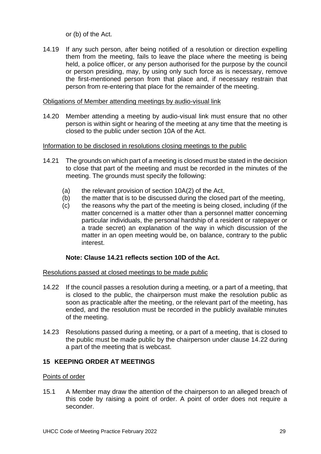or (b) of the Act.

14.19 If any such person, after being notified of a resolution or direction expelling them from the meeting, fails to leave the place where the meeting is being held, a police officer, or any person authorised for the purpose by the council or person presiding, may, by using only such force as is necessary, remove the first-mentioned person from that place and, if necessary restrain that person from re-entering that place for the remainder of the meeting.

## Obligations of Member attending meetings by audio-visual link

14.20 Member attending a meeting by audio-visual link must ensure that no other person is within sight or hearing of the meeting at any time that the meeting is closed to the public under section 10A of the Act.

## Information to be disclosed in resolutions closing meetings to the public

- 14.21 The grounds on which part of a meeting is closed must be stated in the decision to close that part of the meeting and must be recorded in the minutes of the meeting. The grounds must specify the following:
	- (a) the relevant provision of section  $10A(2)$  of the Act,
	- (b) the matter that is to be discussed during the closed part of the meeting,
	- (c) the reasons why the part of the meeting is being closed, including (if the matter concerned is a matter other than a personnel matter concerning particular individuals, the personal hardship of a resident or ratepayer or a trade secret) an explanation of the way in which discussion of the matter in an open meeting would be, on balance, contrary to the public interest.

# **Note: Clause 14.21 reflects section 10D of the Act.**

## Resolutions passed at closed meetings to be made public

- 14.22 If the council passes a resolution during a meeting, or a part of a meeting, that is closed to the public, the chairperson must make the resolution public as soon as practicable after the meeting, or the relevant part of the meeting, has ended, and the resolution must be recorded in the publicly available minutes of the meeting.
- 14.23 Resolutions passed during a meeting, or a part of a meeting, that is closed to the public must be made public by the chairperson under clause 14.22 during a part of the meeting that is webcast.

## <span id="page-28-0"></span>**15 KEEPING ORDER AT MEETINGS**

## Points of order

15.1 A Member may draw the attention of the chairperson to an alleged breach of this code by raising a point of order. A point of order does not require a seconder.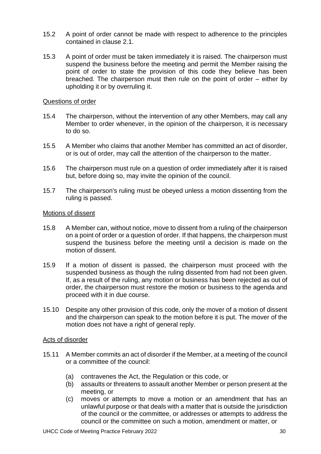- 15.2 A point of order cannot be made with respect to adherence to the principles contained in clause 2.1.
- 15.3 A point of order must be taken immediately it is raised. The chairperson must suspend the business before the meeting and permit the Member raising the point of order to state the provision of this code they believe has been breached. The chairperson must then rule on the point of order – either by upholding it or by overruling it.

## Questions of order

- 15.4 The chairperson, without the intervention of any other Members, may call any Member to order whenever, in the opinion of the chairperson, it is necessary to do so.
- 15.5 A Member who claims that another Member has committed an act of disorder, or is out of order, may call the attention of the chairperson to the matter.
- 15.6 The chairperson must rule on a question of order immediately after it is raised but, before doing so, may invite the opinion of the council.
- 15.7 The chairperson's ruling must be obeyed unless a motion dissenting from the ruling is passed.

## Motions of dissent

- 15.8 A Member can, without notice, move to dissent from a ruling of the chairperson on a point of order or a question of order. If that happens, the chairperson must suspend the business before the meeting until a decision is made on the motion of dissent.
- 15.9 If a motion of dissent is passed, the chairperson must proceed with the suspended business as though the ruling dissented from had not been given. If, as a result of the ruling, any motion or business has been rejected as out of order, the chairperson must restore the motion or business to the agenda and proceed with it in due course.
- 15.10 Despite any other provision of this code, only the mover of a motion of dissent and the chairperson can speak to the motion before it is put. The mover of the motion does not have a right of general reply.

## Acts of disorder

- 15.11 A Member commits an act of disorder if the Member, at a meeting of the council or a committee of the council:
	- (a) contravenes the Act, the Regulation or this code, or
	- (b) assaults or threatens to assault another Member or person present at the meeting, or
	- (c) moves or attempts to move a motion or an amendment that has an unlawful purpose or that deals with a matter that is outside the jurisdiction of the council or the committee, or addresses or attempts to address the council or the committee on such a motion, amendment or matter, or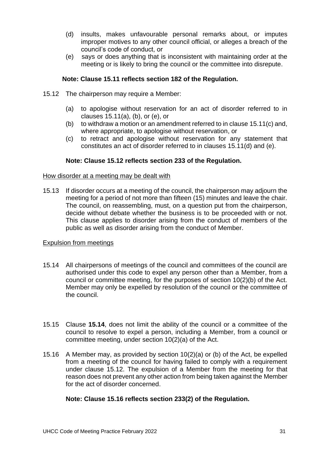- (d) insults, makes unfavourable personal remarks about, or imputes improper motives to any other council official, or alleges a breach of the council's code of conduct, or
- (e) says or does anything that is inconsistent with maintaining order at the meeting or is likely to bring the council or the committee into disrepute.

## **Note: Clause 15.11 reflects section 182 of the Regulation.**

- 15.12 The chairperson may require a Member:
	- (a) to apologise without reservation for an act of disorder referred to in clauses 15.11(a), (b), or (e), or
	- (b) to withdraw a motion or an amendment referred to in clause 15.11(c) and, where appropriate, to apologise without reservation, or
	- (c) to retract and apologise without reservation for any statement that constitutes an act of disorder referred to in clauses 15.11(d) and (e).

## **Note: Clause 15.12 reflects section 233 of the Regulation.**

#### How disorder at a meeting may be dealt with

15.13 If disorder occurs at a meeting of the council, the chairperson may adjourn the meeting for a period of not more than fifteen (15) minutes and leave the chair. The council, on reassembling, must, on a question put from the chairperson, decide without debate whether the business is to be proceeded with or not. This clause applies to disorder arising from the conduct of members of the public as well as disorder arising from the conduct of Member.

## Expulsion from meetings

- 15.14 All chairpersons of meetings of the council and committees of the council are authorised under this code to expel any person other than a Member, from a council or committee meeting, for the purposes of section 10(2)(b) of the Act. Member may only be expelled by resolution of the council or the committee of the council.
- 15.15 Clause **15.14**, does not limit the ability of the council or a committee of the council to resolve to expel a person, including a Member, from a council or committee meeting, under section 10(2)(a) of the Act.
- 15.16 A Member may, as provided by section 10(2)(a) or (b) of the Act, be expelled from a meeting of the council for having failed to comply with a requirement under clause 15.12. The expulsion of a Member from the meeting for that reason does not prevent any other action from being taken against the Member for the act of disorder concerned.

## **Note: Clause 15.16 reflects section 233(2) of the Regulation.**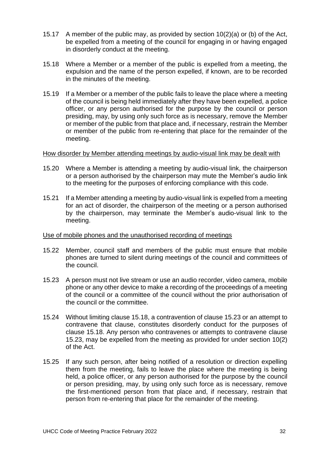- 15.17 A member of the public may, as provided by section 10(2)(a) or (b) of the Act, be expelled from a meeting of the council for engaging in or having engaged in disorderly conduct at the meeting.
- 15.18 Where a Member or a member of the public is expelled from a meeting, the expulsion and the name of the person expelled, if known, are to be recorded in the minutes of the meeting.
- 15.19 If a Member or a member of the public fails to leave the place where a meeting of the council is being held immediately after they have been expelled, a police officer, or any person authorised for the purpose by the council or person presiding, may, by using only such force as is necessary, remove the Member or member of the public from that place and, if necessary, restrain the Member or member of the public from re-entering that place for the remainder of the meeting.

#### How disorder by Member attending meetings by audio-visual link may be dealt with

- 15.20 Where a Member is attending a meeting by audio-visual link, the chairperson or a person authorised by the chairperson may mute the Member's audio link to the meeting for the purposes of enforcing compliance with this code.
- 15.21 If a Member attending a meeting by audio-visual link is expelled from a meeting for an act of disorder, the chairperson of the meeting or a person authorised by the chairperson, may terminate the Member's audio-visual link to the meeting.

## Use of mobile phones and the unauthorised recording of meetings

- 15.22 Member, council staff and members of the public must ensure that mobile phones are turned to silent during meetings of the council and committees of the council.
- 15.23 A person must not live stream or use an audio recorder, video camera, mobile phone or any other device to make a recording of the proceedings of a meeting of the council or a committee of the council without the prior authorisation of the council or the committee.
- 15.24 Without limiting clause 15.18, a contravention of clause 15.23 or an attempt to contravene that clause, constitutes disorderly conduct for the purposes of clause 15.18. Any person who contravenes or attempts to contravene clause 15.23, may be expelled from the meeting as provided for under section 10(2) of the Act.
- 15.25 If any such person, after being notified of a resolution or direction expelling them from the meeting, fails to leave the place where the meeting is being held, a police officer, or any person authorised for the purpose by the council or person presiding, may, by using only such force as is necessary, remove the first-mentioned person from that place and, if necessary, restrain that person from re-entering that place for the remainder of the meeting.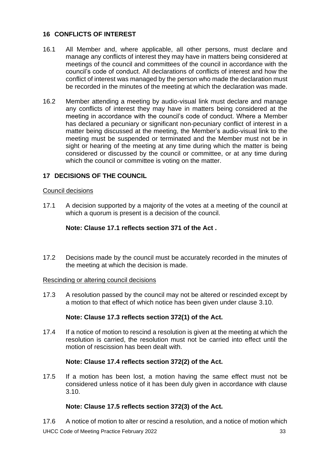## <span id="page-32-0"></span>**16 CONFLICTS OF INTEREST**

- 16.1 All Member and, where applicable, all other persons, must declare and manage any conflicts of interest they may have in matters being considered at meetings of the council and committees of the council in accordance with the council's code of conduct. All declarations of conflicts of interest and how the conflict of interest was managed by the person who made the declaration must be recorded in the minutes of the meeting at which the declaration was made.
- 16.2 Member attending a meeting by audio-visual link must declare and manage any conflicts of interest they may have in matters being considered at the meeting in accordance with the council's code of conduct. Where a Member has declared a pecuniary or significant non-pecuniary conflict of interest in a matter being discussed at the meeting, the Member's audio-visual link to the meeting must be suspended or terminated and the Member must not be in sight or hearing of the meeting at any time during which the matter is being considered or discussed by the council or committee, or at any time during which the council or committee is voting on the matter.

# <span id="page-32-1"></span>**17 DECISIONS OF THE COUNCIL**

## Council decisions

17.1 A decision supported by a majority of the votes at a meeting of the council at which a quorum is present is a decision of the council.

## **Note: Clause 17.1 reflects section 371 of the Act .**

17.2 Decisions made by the council must be accurately recorded in the minutes of the meeting at which the decision is made.

## Rescinding or altering council decisions

17.3 A resolution passed by the council may not be altered or rescinded except by a motion to that effect of which notice has been given under clause 3.10.

## **Note: Clause 17.3 reflects section 372(1) of the Act.**

17.4 If a notice of motion to rescind a resolution is given at the meeting at which the resolution is carried, the resolution must not be carried into effect until the motion of rescission has been dealt with.

## **Note: Clause 17.4 reflects section 372(2) of the Act.**

17.5 If a motion has been lost, a motion having the same effect must not be considered unless notice of it has been duly given in accordance with clause 3.10.

# **Note: Clause 17.5 reflects section 372(3) of the Act.**

UHCC Code of Meeting Practice February 2022 33 17.6 A notice of motion to alter or rescind a resolution, and a notice of motion which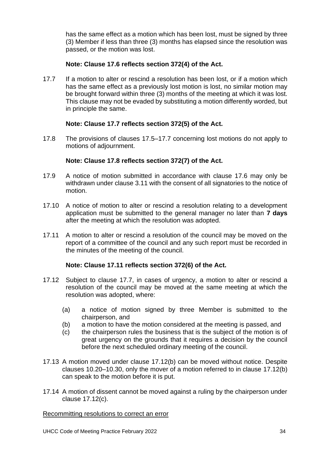has the same effect as a motion which has been lost, must be signed by three (3) Member if less than three (3) months has elapsed since the resolution was passed, or the motion was lost.

## **Note: Clause 17.6 reflects section 372(4) of the Act.**

17.7 If a motion to alter or rescind a resolution has been lost, or if a motion which has the same effect as a previously lost motion is lost, no similar motion may be brought forward within three (3) months of the meeting at which it was lost. This clause may not be evaded by substituting a motion differently worded, but in principle the same.

## **Note: Clause 17.7 reflects section 372(5) of the Act.**

17.8 The provisions of clauses 17.5–17.7 concerning lost motions do not apply to motions of adjournment.

## **Note: Clause 17.8 reflects section 372(7) of the Act.**

- 17.9 A notice of motion submitted in accordance with clause 17.6 may only be withdrawn under clause 3.11 with the consent of all signatories to the notice of motion.
- 17.10 A notice of motion to alter or rescind a resolution relating to a development application must be submitted to the general manager no later than **7 days** after the meeting at which the resolution was adopted.
- 17.11 A motion to alter or rescind a resolution of the council may be moved on the report of a committee of the council and any such report must be recorded in the minutes of the meeting of the council.

## **Note: Clause 17.11 reflects section 372(6) of the Act.**

- 17.12 Subject to clause 17.7, in cases of urgency, a motion to alter or rescind a resolution of the council may be moved at the same meeting at which the resolution was adopted, where:
	- (a) a notice of motion signed by three Member is submitted to the chairperson, and
	- (b) a motion to have the motion considered at the meeting is passed, and
	- (c) the chairperson rules the business that is the subject of the motion is of great urgency on the grounds that it requires a decision by the council before the next scheduled ordinary meeting of the council.
- 17.13 A motion moved under clause 17.12(b) can be moved without notice. Despite clauses 10.20–10.30, only the mover of a motion referred to in clause 17.12(b) can speak to the motion before it is put.
- 17.14 A motion of dissent cannot be moved against a ruling by the chairperson under clause 17.12(c).

## Recommitting resolutions to correct an error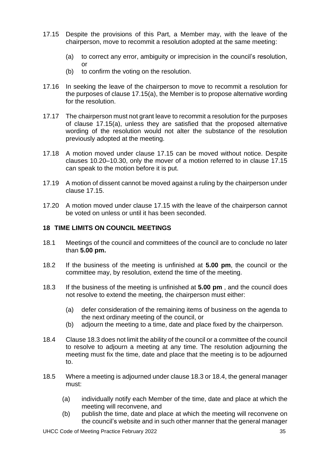- 17.15 Despite the provisions of this Part, a Member may, with the leave of the chairperson, move to recommit a resolution adopted at the same meeting:
	- (a) to correct any error, ambiguity or imprecision in the council's resolution, or
	- (b) to confirm the voting on the resolution.
- 17.16 In seeking the leave of the chairperson to move to recommit a resolution for the purposes of clause 17.15(a), the Member is to propose alternative wording for the resolution.
- 17.17 The chairperson must not grant leave to recommit a resolution for the purposes of clause 17.15(a), unless they are satisfied that the proposed alternative wording of the resolution would not alter the substance of the resolution previously adopted at the meeting.
- 17.18 A motion moved under clause 17.15 can be moved without notice. Despite clauses 10.20–10.30, only the mover of a motion referred to in clause 17.15 can speak to the motion before it is put.
- 17.19 A motion of dissent cannot be moved against a ruling by the chairperson under clause 17.15.
- 17.20 A motion moved under clause 17.15 with the leave of the chairperson cannot be voted on unless or until it has been seconded.

## <span id="page-34-0"></span>**18 TIME LIMITS ON COUNCIL MEETINGS**

- 18.1 Meetings of the council and committees of the council are to conclude no later than **5.00 pm.**
- 18.2 If the business of the meeting is unfinished at **5.00 pm**, the council or the committee may, by resolution, extend the time of the meeting.
- 18.3 If the business of the meeting is unfinished at **5.00 pm** , and the council does not resolve to extend the meeting, the chairperson must either:
	- (a) defer consideration of the remaining items of business on the agenda to the next ordinary meeting of the council, or
	- (b) adjourn the meeting to a time, date and place fixed by the chairperson.
- 18.4 Clause 18.3 does not limit the ability of the council or a committee of the council to resolve to adjourn a meeting at any time. The resolution adjourning the meeting must fix the time, date and place that the meeting is to be adjourned to.
- 18.5 Where a meeting is adjourned under clause 18.3 or 18.4, the general manager must:
	- (a) individually notify each Member of the time, date and place at which the meeting will reconvene, and
	- (b) publish the time, date and place at which the meeting will reconvene on the council's website and in such other manner that the general manager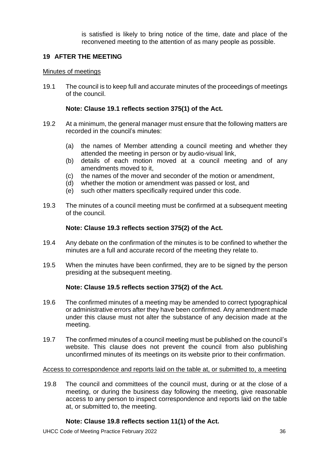is satisfied is likely to bring notice of the time, date and place of the reconvened meeting to the attention of as many people as possible.

## <span id="page-35-0"></span>**19 AFTER THE MEETING**

#### Minutes of meetings

19.1 The council is to keep full and accurate minutes of the proceedings of meetings of the council.

## **Note: Clause 19.1 reflects section 375(1) of the Act.**

- 19.2 At a minimum, the general manager must ensure that the following matters are recorded in the council's minutes:
	- (a) the names of Member attending a council meeting and whether they attended the meeting in person or by audio-visual link,
	- (b) details of each motion moved at a council meeting and of any amendments moved to it,
	- (c) the names of the mover and seconder of the motion or amendment,
	- (d) whether the motion or amendment was passed or lost, and
	- (e) such other matters specifically required under this code.
- 19.3 The minutes of a council meeting must be confirmed at a subsequent meeting of the council.

#### **Note: Clause 19.3 reflects section 375(2) of the Act.**

- 19.4 Any debate on the confirmation of the minutes is to be confined to whether the minutes are a full and accurate record of the meeting they relate to.
- 19.5 When the minutes have been confirmed, they are to be signed by the person presiding at the subsequent meeting.

## **Note: Clause 19.5 reflects section 375(2) of the Act.**

- 19.6 The confirmed minutes of a meeting may be amended to correct typographical or administrative errors after they have been confirmed. Any amendment made under this clause must not alter the substance of any decision made at the meeting.
- 19.7 The confirmed minutes of a council meeting must be published on the council's website. This clause does not prevent the council from also publishing unconfirmed minutes of its meetings on its website prior to their confirmation.

#### Access to correspondence and reports laid on the table at, or submitted to, a meeting

19.8 The council and committees of the council must, during or at the close of a meeting, or during the business day following the meeting, give reasonable access to any person to inspect correspondence and reports laid on the table at, or submitted to, the meeting.

## **Note: Clause 19.8 reflects section 11(1) of the Act.**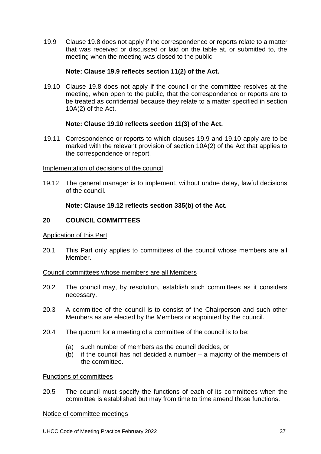19.9 Clause 19.8 does not apply if the correspondence or reports relate to a matter that was received or discussed or laid on the table at, or submitted to, the meeting when the meeting was closed to the public.

## **Note: Clause 19.9 reflects section 11(2) of the Act.**

19.10 Clause 19.8 does not apply if the council or the committee resolves at the meeting, when open to the public, that the correspondence or reports are to be treated as confidential because they relate to a matter specified in section 10A(2) of the Act.

## **Note: Clause 19.10 reflects section 11(3) of the Act.**

19.11 Correspondence or reports to which clauses 19.9 and 19.10 apply are to be marked with the relevant provision of section 10A(2) of the Act that applies to the correspondence or report.

## Implementation of decisions of the council

19.12 The general manager is to implement, without undue delay, lawful decisions of the council.

## **Note: Clause 19.12 reflects section 335(b) of the Act.**

## <span id="page-36-0"></span>**20 COUNCIL COMMITTEES**

## Application of this Part

20.1 This Part only applies to committees of the council whose members are all Member.

## Council committees whose members are all Members

- 20.2 The council may, by resolution, establish such committees as it considers necessary.
- 20.3 A committee of the council is to consist of the Chairperson and such other Members as are elected by the Members or appointed by the council.
- 20.4 The quorum for a meeting of a committee of the council is to be:
	- (a) such number of members as the council decides, or
	- (b) if the council has not decided a number a majority of the members of the committee.

## Functions of committees

20.5 The council must specify the functions of each of its committees when the committee is established but may from time to time amend those functions.

## Notice of committee meetings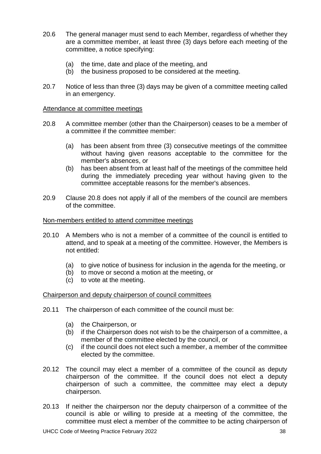- 20.6 The general manager must send to each Member, regardless of whether they are a committee member, at least three (3) days before each meeting of the committee, a notice specifying:
	- (a) the time, date and place of the meeting, and
	- (b) the business proposed to be considered at the meeting.
- 20.7 Notice of less than three (3) days may be given of a committee meeting called in an emergency.

#### Attendance at committee meetings

- 20.8 A committee member (other than the Chairperson) ceases to be a member of a committee if the committee member:
	- (a) has been absent from three (3) consecutive meetings of the committee without having given reasons acceptable to the committee for the member's absences, or
	- (b) has been absent from at least half of the meetings of the committee held during the immediately preceding year without having given to the committee acceptable reasons for the member's absences.
- 20.9 Clause 20.8 does not apply if all of the members of the council are members of the committee.

#### Non-members entitled to attend committee meetings

- 20.10 A Members who is not a member of a committee of the council is entitled to attend, and to speak at a meeting of the committee. However, the Members is not entitled:
	- (a) to give notice of business for inclusion in the agenda for the meeting, or
	- (b) to move or second a motion at the meeting, or
	- (c) to vote at the meeting.

#### Chairperson and deputy chairperson of council committees

- 20.11 The chairperson of each committee of the council must be:
	- (a) the Chairperson, or
	- (b) if the Chairperson does not wish to be the chairperson of a committee, a member of the committee elected by the council, or
	- (c) if the council does not elect such a member, a member of the committee elected by the committee.
- 20.12 The council may elect a member of a committee of the council as deputy chairperson of the committee. If the council does not elect a deputy chairperson of such a committee, the committee may elect a deputy chairperson.
- 20.13 If neither the chairperson nor the deputy chairperson of a committee of the council is able or willing to preside at a meeting of the committee, the committee must elect a member of the committee to be acting chairperson of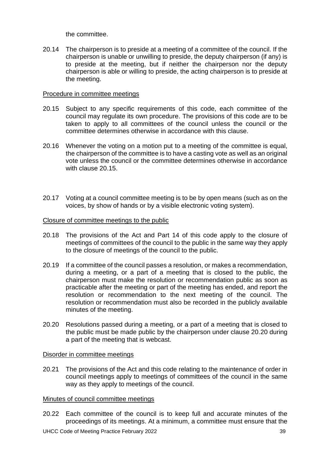the committee.

20.14 The chairperson is to preside at a meeting of a committee of the council. If the chairperson is unable or unwilling to preside, the deputy chairperson (if any) is to preside at the meeting, but if neither the chairperson nor the deputy chairperson is able or willing to preside, the acting chairperson is to preside at the meeting.

## Procedure in committee meetings

- 20.15 Subject to any specific requirements of this code, each committee of the council may regulate its own procedure. The provisions of this code are to be taken to apply to all committees of the council unless the council or the committee determines otherwise in accordance with this clause.
- 20.16 Whenever the voting on a motion put to a meeting of the committee is equal, the chairperson of the committee is to have a casting vote as well as an original vote unless the council or the committee determines otherwise in accordance with clause 20.15.
- 20.17 Voting at a council committee meeting is to be by open means (such as on the voices, by show of hands or by a visible electronic voting system).

## Closure of committee meetings to the public

- 20.18 The provisions of the Act and Part 14 of this code apply to the closure of meetings of committees of the council to the public in the same way they apply to the closure of meetings of the council to the public.
- 20.19 If a committee of the council passes a resolution, or makes a recommendation, during a meeting, or a part of a meeting that is closed to the public, the chairperson must make the resolution or recommendation public as soon as practicable after the meeting or part of the meeting has ended, and report the resolution or recommendation to the next meeting of the council. The resolution or recommendation must also be recorded in the publicly available minutes of the meeting.
- 20.20 Resolutions passed during a meeting, or a part of a meeting that is closed to the public must be made public by the chairperson under clause 20.20 during a part of the meeting that is webcast.

## Disorder in committee meetings

20.21 The provisions of the Act and this code relating to the maintenance of order in council meetings apply to meetings of committees of the council in the same way as they apply to meetings of the council.

## Minutes of council committee meetings

20.22 Each committee of the council is to keep full and accurate minutes of the proceedings of its meetings. At a minimum, a committee must ensure that the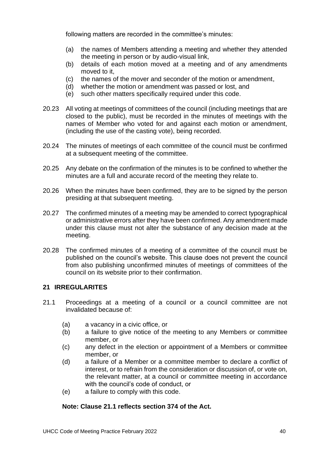following matters are recorded in the committee's minutes:

- (a) the names of Members attending a meeting and whether they attended the meeting in person or by audio-visual link,
- (b) details of each motion moved at a meeting and of any amendments moved to it,
- (c) the names of the mover and seconder of the motion or amendment,
- (d) whether the motion or amendment was passed or lost, and
- (e) such other matters specifically required under this code.
- 20.23 All voting at meetings of committees of the council (including meetings that are closed to the public), must be recorded in the minutes of meetings with the names of Member who voted for and against each motion or amendment, (including the use of the casting vote), being recorded.
- 20.24 The minutes of meetings of each committee of the council must be confirmed at a subsequent meeting of the committee.
- 20.25 Any debate on the confirmation of the minutes is to be confined to whether the minutes are a full and accurate record of the meeting they relate to.
- 20.26 When the minutes have been confirmed, they are to be signed by the person presiding at that subsequent meeting.
- 20.27 The confirmed minutes of a meeting may be amended to correct typographical or administrative errors after they have been confirmed. Any amendment made under this clause must not alter the substance of any decision made at the meeting.
- 20.28 The confirmed minutes of a meeting of a committee of the council must be published on the council's website. This clause does not prevent the council from also publishing unconfirmed minutes of meetings of committees of the council on its website prior to their confirmation.

# <span id="page-39-0"></span>**21 IRREGULARITES**

- 21.1 Proceedings at a meeting of a council or a council committee are not invalidated because of:
	- (a) a vacancy in a civic office, or
	- (b) a failure to give notice of the meeting to any Members or committee member, or
	- (c) any defect in the election or appointment of a Members or committee member, or
	- (d) a failure of a Member or a committee member to declare a conflict of interest, or to refrain from the consideration or discussion of, or vote on, the relevant matter, at a council or committee meeting in accordance with the council's code of conduct, or
	- (e) a failure to comply with this code.

# **Note: Clause 21.1 reflects section 374 of the Act.**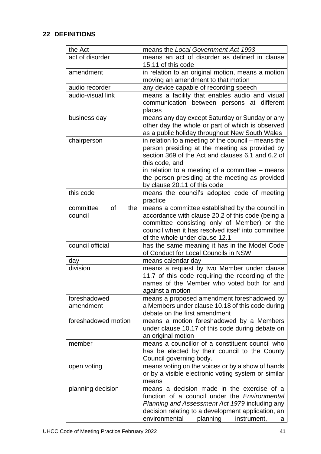## <span id="page-40-0"></span>**22 DEFINITIONS**

| the Act                           | means the Local Government Act 1993                                                                                                                                                                                                                                                                                  |
|-----------------------------------|----------------------------------------------------------------------------------------------------------------------------------------------------------------------------------------------------------------------------------------------------------------------------------------------------------------------|
| act of disorder                   | means an act of disorder as defined in clause<br>15.11 of this code                                                                                                                                                                                                                                                  |
| amendment                         | in relation to an original motion, means a motion<br>moving an amendment to that motion                                                                                                                                                                                                                              |
| audio recorder                    | any device capable of recording speech                                                                                                                                                                                                                                                                               |
| audio-visual link                 | means a facility that enables audio and visual<br>communication between persons at different<br>places                                                                                                                                                                                                               |
| business day                      | means any day except Saturday or Sunday or any<br>other day the whole or part of which is observed<br>as a public holiday throughout New South Wales                                                                                                                                                                 |
| chairperson                       | in relation to a meeting of the council – means the<br>person presiding at the meeting as provided by<br>section 369 of the Act and clauses 6.1 and 6.2 of<br>this code, and<br>in relation to a meeting of a committee $-$ means<br>the person presiding at the meeting as provided<br>by clause 20.11 of this code |
| this code                         | means the council's adopted code of meeting<br>practice                                                                                                                                                                                                                                                              |
| committee<br>of<br>the<br>council | means a committee established by the council in<br>accordance with clause 20.2 of this code (being a<br>committee consisting only of Member) or the<br>council when it has resolved itself into committee<br>of the whole under clause 12.1                                                                          |
| council official                  | has the same meaning it has in the Model Code<br>of Conduct for Local Councils in NSW                                                                                                                                                                                                                                |
| day                               | means calendar day                                                                                                                                                                                                                                                                                                   |
| division                          | means a request by two Member under clause<br>11.7 of this code requiring the recording of the<br>names of the Member who voted both for and<br>against a motion                                                                                                                                                     |
| foreshadowed<br>amendment         | means a proposed amendment foreshadowed by<br>a Members under clause 10.18 of this code during<br>debate on the first amendment                                                                                                                                                                                      |
| foreshadowed motion               | means a motion foreshadowed by a Members<br>under clause 10.17 of this code during debate on<br>an original motion                                                                                                                                                                                                   |
| member                            | means a councillor of a constituent council who<br>has be elected by their council to the County<br>Council governing body.                                                                                                                                                                                          |
| open voting                       | means voting on the voices or by a show of hands<br>or by a visible electronic voting system or similar<br>means                                                                                                                                                                                                     |
| planning decision                 | means a decision made in the exercise of a<br>function of a council under the <i>Environmental</i><br>Planning and Assessment Act 1979 including any<br>decision relating to a development application, an<br>environmental<br>planning<br>instrument,<br>a                                                          |